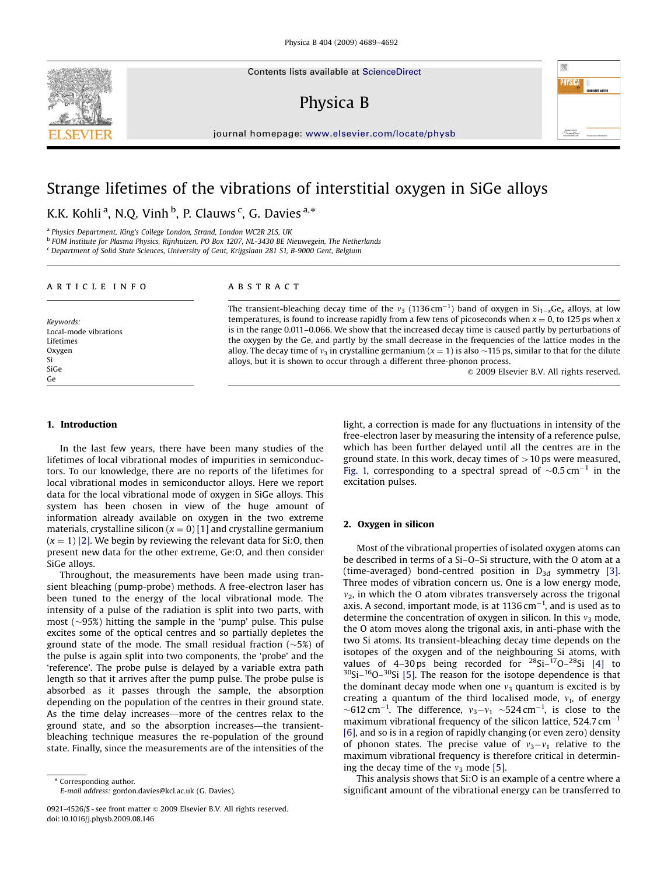Contents lists available at ScienceDirect

# Physica B

journal homepage: <www.elsevier.com/locate/physb>

# Strange lifetimes of the vibrations of interstitial oxygen in SiGe alloys

K.K. Kohli<sup>a</sup>, N.Q. Vinh <sup>b</sup>, P. Clauws <sup>c</sup>, G. Davies <sup>a,\*</sup>

<sup>a</sup> Physics Department, King's College London, Strand, London WC2R 2LS, UK

<sup>b</sup> FOM Institute for Plasma Physics, Rijnhuizen, PO Box 1207, NL-3430 BE Nieuwegein, The Netherlands

<sup>c</sup> Department of Solid State Sciences, University of Gent, Krijgslaan 281 S1, B-9000 Gent, Belgium

## article info

Keywords: Local-mode vibrations Lifetimes Oxygen Si SiGe Ge

## ABSTRACT

The transient-bleaching decay time of the  $v_3$  (1136 cm<sup>-1</sup>) band of oxygen in Si<sub>1-x</sub>Ge<sub>x</sub> alloys, at low temperatures, is found to increase rapidly from a few tens of picoseconds when  $x = 0$ , to 125 ps when x is in the range 0.011–0.066. We show that the increased decay time is caused partly by perturbations of the oxygen by the Ge, and partly by the small decrease in the frequencies of the lattice modes in the alloy. The decay time of  $v_3$  in crystalline germanium ( $x = 1$ ) is also  $\sim$ 115 ps, similar to that for the dilute alloys, but it is shown to occur through a different three-phonon process.

 $@$  2009 Elsevier B.V. All rights reserved.

瘤

## 1. Introduction

In the last few years, there have been many studies of the lifetimes of local vibrational modes of impurities in semiconductors. To our knowledge, there are no reports of the lifetimes for local vibrational modes in semiconductor alloys. Here we report data for the local vibrational mode of oxygen in SiGe alloys. This system has been chosen in view of the huge amount of information already available on oxygen in the two extreme materials, crystalline silicon  $(x = 0)$  [\[1\]](#page-3-0) and crystalline germanium  $(x = 1)$  [\[2\].](#page-3-0) We begin by reviewing the relevant data for Si:O, then present new data for the other extreme, Ge:O, and then consider SiGe alloys.

Throughout, the measurements have been made using transient bleaching (pump-probe) methods. A free-electron laser has been tuned to the energy of the local vibrational mode. The intensity of a pulse of the radiation is split into two parts, with most ( $\sim$ 95%) hitting the sample in the 'pump' pulse. This pulse excites some of the optical centres and so partially depletes the ground state of the mode. The small residual fraction  $(\sim 5\%)$  of the pulse is again split into two components, the 'probe' and the 'reference'. The probe pulse is delayed by a variable extra path length so that it arrives after the pump pulse. The probe pulse is absorbed as it passes through the sample, the absorption depending on the population of the centres in their ground state. As the time delay increases—more of the centres relax to the ground state, and so the absorption increases—the transientbleaching technique measures the re-population of the ground state. Finally, since the measurements are of the intensities of the

\* Corresponding author. E-mail address: [gordon.davies@kcl.ac.uk \(G. Davies\).](mailto:gordon.davies@kcl.ac.uk) light, a correction is made for any fluctuations in intensity of the free-electron laser by measuring the intensity of a reference pulse, which has been further delayed until all the centres are in the ground state. In this work, decay times of  $>10$  ps were measured, [Fig. 1,](#page-1-0) corresponding to a spectral spread of  $\sim$ 0.5 cm<sup>-1</sup> in the excitation pulses.

## 2. Oxygen in silicon

Most of the vibrational properties of isolated oxygen atoms can be described in terms of a Si–O–Si structure, with the O atom at a (time-averaged) bond-centred position in  $D_{3d}$  symmetry [\[3\].](#page-3-0) Three modes of vibration concern us. One is a low energy mode,  $v<sub>2</sub>$ , in which the O atom vibrates transversely across the trigonal axis. A second, important mode, is at  $1136 \text{ cm}^{-1}$ , and is used as to determine the concentration of oxygen in silicon. In this  $v_3$  mode, the O atom moves along the trigonal axis, in anti-phase with the two Si atoms. Its transient-bleaching decay time depends on the isotopes of the oxygen and of the neighbouring Si atoms, with values of 4-30 ps being recorded for  $28$ Si- $17$ O- $28$ Si [\[4\]](#page-3-0) to  $30$ Si $-16$ O $-30$ Si [\[5\]](#page-3-0). The reason for the isotope dependence is that the dominant decay mode when one  $v_3$  quantum is excited is by creating a quantum of the third localised mode,  $v_1$ , of energy  $\sim$ 612 cm<sup>-1</sup>. The difference,  $v_3 - v_1 \sim$ 524 cm<sup>-1</sup>, is close to the maximum vibrational frequency of the silicon lattice,  $524.7 \text{ cm}^{-1}$ [\[6\]](#page-3-0), and so is in a region of rapidly changing (or even zero) density of phonon states. The precise value of  $v_3 - v_1$  relative to the maximum vibrational frequency is therefore critical in determining the decay time of the  $v_3$  mode [\[5\].](#page-3-0)

This analysis shows that Si:O is an example of a centre where a significant amount of the vibrational energy can be transferred to



<sup>0921-4526/\$ -</sup> see front matter  $\circ$  2009 Elsevier B.V. All rights reserved. doi:[10.1016/j.physb.2009.08.146](dx.doi.org/10.1016/j.physb.2009.08.146)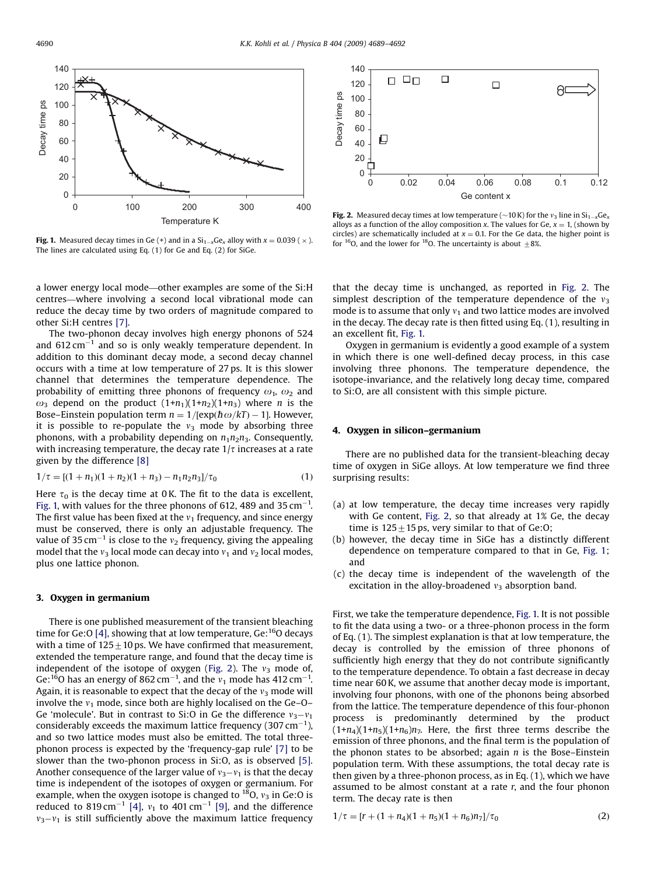<span id="page-1-0"></span>

**Fig. 1.** Measured decay times in Ge (+) and in a  $\text{Si}_{1-x}\text{Ge}_x$  alloy with  $x = 0.039$  (  $\times$  ). The lines are calculated using Eq. (1) for Ge and Eq. (2) for SiGe.

a lower energy local mode—other examples are some of the Si:H centres—where involving a second local vibrational mode can reduce the decay time by two orders of magnitude compared to other Si:H centres [\[7\].](#page-3-0)

The two-phonon decay involves high energy phonons of 524 and  $612\,\mathrm{cm}^{-1}$  and so is only weakly temperature dependent. In addition to this dominant decay mode, a second decay channel occurs with a time at low temperature of 27 ps. It is this slower channel that determines the temperature dependence. The probability of emitting three phonons of frequency  $\omega_1$ ,  $\omega_2$  and  $\omega_3$  depend on the product  $(1+n_1)(1+n_2)(1+n_3)$  where *n* is the Bose–Einstein population term  $n = 1/[\exp(\hbar \omega/kT) - 1]$ . However, it is possible to re-populate the  $v_3$  mode by absorbing three phonons, with a probability depending on  $n_1n_2n_3$ . Consequently, with increasing temperature, the decay rate  $1/\tau$  increases at a rate given by the difference [\[8\]](#page-3-0)

$$
1/\tau = [(1 + n_1)(1 + n_2)(1 + n_3) - n_1n_2n_3]/\tau_0
$$
\n(1)

Here  $\tau_0$  is the decay time at 0 K. The fit to the data is excellent, Fig. 1, with values for the three phonons of 612, 489 and 35  $cm^{-1}$ . The first value has been fixed at the  $v_1$  frequency, and since energy must be conserved, there is only an adjustable frequency. The value of 35 cm $^{-1}$  is close to the  $v_{2}$  frequency, giving the appealing model that the  $v_3$  local mode can decay into  $v_1$  and  $v_2$  local modes, plus one lattice phonon.

## 3. Oxygen in germanium

There is one published measurement of the transient bleaching time for Ge: O [\[4\]](#page-3-0), showing that at low temperature, Ge:  $^{16}$ O decays with a time of  $125\pm10$  ps. We have confirmed that measurement, extended the temperature range, and found that the decay time is independent of the isotope of oxygen (Fig. 2). The  $v_3$  mode of, Ge:<sup>16</sup>O has an energy of 862 cm<sup>-1</sup>, and the  $v_1$  mode has 412 cm<sup>-1</sup>. Again, it is reasonable to expect that the decay of the  $v_3$  mode will involve the  $v_1$  mode, since both are highly localised on the Ge–O– Ge 'molecule'. But in contrast to Si:O in Ge the difference  $v_3 - v_1$ considerably exceeds the maximum lattice frequency (307 cm $^{-1}$ ), and so two lattice modes must also be emitted. The total threephonon process is expected by the 'frequency-gap rule' [\[7\]](#page-3-0) to be slower than the two-phonon process in Si:O, as is observed [\[5\].](#page-3-0) Another consequence of the larger value of  $v_3-v_1$  is that the decay time is independent of the isotopes of oxygen or germanium. For example, when the oxygen isotope is changed to  $^{18}$ O,  $v_3$  in Ge:O is reduced to 819 cm<sup>-1</sup> [\[4\]](#page-3-0),  $v_1$  to 401 cm<sup>-1</sup> [\[9\]](#page-3-0), and the difference  $v_3 - v_1$  is still sufficiently above the maximum lattice frequency



**Fig. 2.** Measured decay times at low temperature ( $\sim$ 10 K) for the  $v_3$  line in Si<sub>1-x</sub>Ge<sub>x</sub> alloys as a function of the alloy composition x. The values for Ge,  $x = 1$ , (shown by circles) are schematically included at  $x = 0.1$ . For the Ge data, the higher point is for <sup>16</sup>O, and the lower for <sup>18</sup>O. The uncertainty is about  $\pm 8\%$ .

that the decay time is unchanged, as reported in Fig. 2. The simplest description of the temperature dependence of the  $v_3$ mode is to assume that only  $v_1$  and two lattice modes are involved in the decay. The decay rate is then fitted using Eq. (1), resulting in an excellent fit, Fig. 1.

Oxygen in germanium is evidently a good example of a system in which there is one well-defined decay process, in this case involving three phonons. The temperature dependence, the isotope-invariance, and the relatively long decay time, compared to Si:O, are all consistent with this simple picture.

#### 4. Oxygen in silicon–germanium

There are no published data for the transient-bleaching decay time of oxygen in SiGe alloys. At low temperature we find three surprising results:

- (a) at low temperature, the decay time increases very rapidly with Ge content, Fig. 2, so that already at 1% Ge, the decay time is  $125 \pm 15$  ps, very similar to that of Ge:O;
- (b) however, the decay time in SiGe has a distinctly different dependence on temperature compared to that in Ge, Fig. 1; and
- (c) the decay time is independent of the wavelength of the excitation in the alloy-broadened  $v_3$  absorption band.

First, we take the temperature dependence, Fig. 1. It is not possible to fit the data using a two- or a three-phonon process in the form of Eq. (1). The simplest explanation is that at low temperature, the decay is controlled by the emission of three phonons of sufficiently high energy that they do not contribute significantly to the temperature dependence. To obtain a fast decrease in decay time near 60 K, we assume that another decay mode is important, involving four phonons, with one of the phonons being absorbed from the lattice. The temperature dependence of this four-phonon process is predominantly determined by the product  $(1+n_4)(1+n_5)(1+n_6)n_7$ . Here, the first three terms describe the emission of three phonons, and the final term is the population of the phonon states to be absorbed; again  $n$  is the Bose–Einstein population term. With these assumptions, the total decay rate is then given by a three-phonon process, as in Eq. (1), which we have assumed to be almost constant at a rate  $r$ , and the four phonon term. The decay rate is then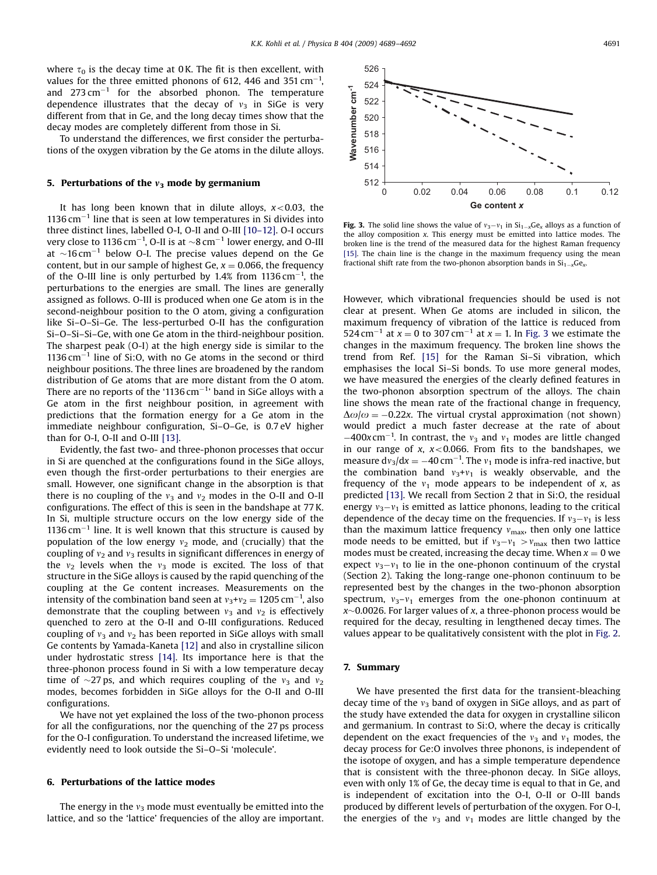where  $\tau_0$  is the decay time at 0 K. The fit is then excellent, with values for the three emitted phonons of 612, 446 and 351  $\text{cm}^{-1}$ , and  $273 \text{ cm}^{-1}$  for the absorbed phonon. The temperature dependence illustrates that the decay of  $v_3$  in SiGe is very different from that in Ge, and the long decay times show that the decay modes are completely different from those in Si.

To understand the differences, we first consider the perturbations of the oxygen vibration by the Ge atoms in the dilute alloys.

### 5. Perturbations of the  $v_3$  mode by germanium

It has long been known that in dilute alloys,  $x < 0.03$ , the  $1136 \text{ cm}^{-1}$  line that is seen at low temperatures in Si divides into three distinct lines, labelled O-I, O-II and O-III [\[10–12\]](#page-3-0). O-I occurs very close to 1136 cm $^{-1}$ , O-II is at  ${\sim}8\,\mathrm{cm}^{-1}$  lower energy, and O-III at  $\sim$ 16 cm<sup>-1</sup> below O-I. The precise values depend on the Ge content, but in our sample of highest Ge,  $x = 0.066$ , the frequency of the O-III line is only perturbed by  $1.4\%$  from  $1136 \text{ cm}^{-1}$ , the perturbations to the energies are small. The lines are generally assigned as follows. O-III is produced when one Ge atom is in the second-neighbour position to the O atom, giving a configuration like Si–O–Si–Ge. The less-perturbed O-II has the configuration Si–O–Si–Si–Ge, with one Ge atom in the third-neighbour position. The sharpest peak (O-I) at the high energy side is similar to the  $1136 \text{ cm}^{-1}$  line of Si:O, with no Ge atoms in the second or third neighbour positions. The three lines are broadened by the random distribution of Ge atoms that are more distant from the O atom. There are no reports of the '1136 cm $^{-1}$ ' band in SiGe alloys with a Ge atom in the first neighbour position, in agreement with predictions that the formation energy for a Ge atom in the immediate neighbour configuration, Si–O–Ge, is 0.7 eV higher than for O-I, O-II and O-III [\[13\]](#page-3-0).

Evidently, the fast two- and three-phonon processes that occur in Si are quenched at the configurations found in the SiGe alloys, even though the first-order perturbations to their energies are small. However, one significant change in the absorption is that there is no coupling of the  $v_3$  and  $v_2$  modes in the O-II and O-II configurations. The effect of this is seen in the bandshape at 77 K. In Si, multiple structure occurs on the low energy side of the  $1136 \text{ cm}^{-1}$  line. It is well known that this structure is caused by population of the low energy  $v_2$  mode, and (crucially) that the coupling of  $v_2$  and  $v_3$  results in significant differences in energy of the  $v_2$  levels when the  $v_3$  mode is excited. The loss of that structure in the SiGe alloys is caused by the rapid quenching of the coupling at the Ge content increases. Measurements on the intensity of the combination band seen at  $v_3 + v_2 = 1205$  cm $^{-1}$ , also demonstrate that the coupling between  $v_3$  and  $v_2$  is effectively quenched to zero at the O-II and O-III configurations. Reduced coupling of  $v_3$  and  $v_2$  has been reported in SiGe alloys with small Ge contents by Yamada-Kaneta [\[12\]](#page-3-0) and also in crystalline silicon under hydrostatic stress [\[14\]](#page-3-0). Its importance here is that the three-phonon process found in Si with a low temperature decay time of  $\sim$ 27 ps, and which requires coupling of the  $v_3$  and  $v_2$ modes, becomes forbidden in SiGe alloys for the O-II and O-III configurations.

We have not yet explained the loss of the two-phonon process for all the configurations, nor the quenching of the 27 ps process for the O-I configuration. To understand the increased lifetime, we evidently need to look outside the Si–O–Si 'molecule'.

## 6. Perturbations of the lattice modes

The energy in the  $v_3$  mode must eventually be emitted into the lattice, and so the 'lattice' frequencies of the alloy are important.



**Fig. 3.** The solid line shows the value of  $v_3 - v_1$  in  $Si_{1-x}Ge_x$  alloys as a function of the alloy composition x. This energy must be emitted into lattice modes. The broken line is the trend of the measured data for the highest Raman frequency [\[15\].](#page-3-0) The chain line is the change in the maximum frequency using the mean fractional shift rate from the two-phonon absorption bands in  $Si_{1-x}Ge_x$ .

However, which vibrational frequencies should be used is not clear at present. When Ge atoms are included in silicon, the maximum frequency of vibration of the lattice is reduced from 524 cm<sup>-1</sup> at  $x = 0$  to 307 cm<sup>-1</sup> at  $x = 1$ . In Fig. 3 we estimate the changes in the maximum frequency. The broken line shows the trend from Ref. [\[15\]](#page-3-0) for the Raman Si–Si vibration, which emphasises the local Si–Si bonds. To use more general modes, we have measured the energies of the clearly defined features in the two-phonon absorption spectrum of the alloys. The chain line shows the mean rate of the fractional change in frequency,  $\Delta\omega/\omega = -0.22x$ . The virtual crystal approximation (not shown) would predict a much faster decrease at the rate of about  $-400x$  cm<sup>-1</sup>. In contrast, the  $v_3$  and  $v_1$  modes are little changed in our range of x,  $x < 0.066$ . From fits to the bandshapes, we measure  $dv_3/dx = -40 \text{ cm}^{-1}$ . The  $v_1$  mode is infra-red inactive, but the combination band  $v_3 + v_1$  is weakly observable, and the frequency of the  $v_1$  mode appears to be independent of x, as predicted [\[13\]](#page-3-0). We recall from Section 2 that in Si:O, the residual energy  $v_3 - v_1$  is emitted as lattice phonons, leading to the critical dependence of the decay time on the frequencies. If  $v_3 - v_1$  is less than the maximum lattice frequency  $v_{\text{max}}$ , then only one lattice mode needs to be emitted, but if  $v_3 - v_1 > v_{\text{max}}$  then two lattice modes must be created, increasing the decay time. When  $x = 0$  we expect  $v_3 - v_1$  to lie in the one-phonon continuum of the crystal (Section 2). Taking the long-range one-phonon continuum to be represented best by the changes in the two-phonon absorption spectrum,  $v_3-v_1$  emerges from the one-phonon continuum at  $x$  $\sim$ 0.0026. For larger values of x, a three-phonon process would be required for the decay, resulting in lengthened decay times. The values appear to be qualitatively consistent with the plot in [Fig. 2.](#page-1-0)

### 7. Summary

We have presented the first data for the transient-bleaching decay time of the  $v_3$  band of oxygen in SiGe alloys, and as part of the study have extended the data for oxygen in crystalline silicon and germanium. In contrast to Si:O, where the decay is critically dependent on the exact frequencies of the  $v_3$  and  $v_1$  modes, the decay process for Ge:O involves three phonons, is independent of the isotope of oxygen, and has a simple temperature dependence that is consistent with the three-phonon decay. In SiGe alloys, even with only 1% of Ge, the decay time is equal to that in Ge, and is independent of excitation into the O-I, O-II or O-III bands produced by different levels of perturbation of the oxygen. For O-I, the energies of the  $v_3$  and  $v_1$  modes are little changed by the